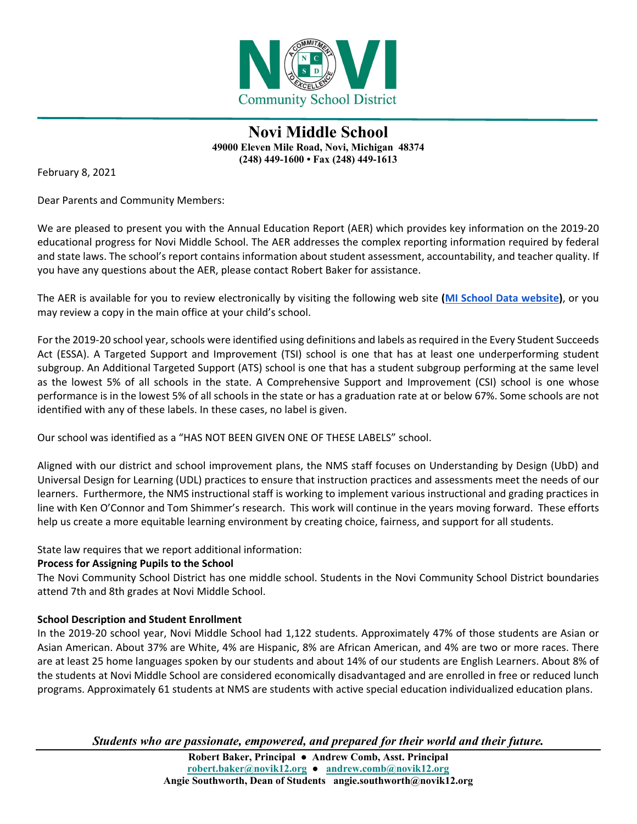

**Novi Middle School 49000 Eleven Mile Road, Novi, Michigan 48374 (248) 449-1600 • Fax (248) 449-1613**

February 8, 2021

Dear Parents and Community Members:

We are pleased to present you with the Annual Education Report (AER) which provides key information on the 2019-20 educational progress for Novi Middle School. The AER addresses the complex reporting information required by federal and state laws. The school's report contains information about student assessment, accountability, and teacher quality. If you have any questions about the AER, please contact Robert Baker for assistance.

The AER is available for you to review electronically by visiting the following web site **[\(MI School Data website\)](https://bit.ly/3a77jQp)**, or you may review a copy in the main office at your child's school.

For the 2019-20 school year, schools were identified using definitions and labels as required in the Every Student Succeeds Act (ESSA). A Targeted Support and Improvement (TSI) school is one that has at least one underperforming student subgroup. An Additional Targeted Support (ATS) school is one that has a student subgroup performing at the same level as the lowest 5% of all schools in the state. A Comprehensive Support and Improvement (CSI) school is one whose performance is in the lowest 5% of all schools in the state or has a graduation rate at or below 67%. Some schools are not identified with any of these labels. In these cases, no label is given.

Our school was identified as a "HAS NOT BEEN GIVEN ONE OF THESE LABELS" school.

Aligned with our district and school improvement plans, the NMS staff focuses on Understanding by Design (UbD) and Universal Design for Learning (UDL) practices to ensure that instruction practices and assessments meet the needs of our learners. Furthermore, the NMS instructional staff is working to implement various instructional and grading practices in line with Ken O'Connor and Tom Shimmer's research. This work will continue in the years moving forward. These efforts help us create a more equitable learning environment by creating choice, fairness, and support for all students.

State law requires that we report additional information:

### **Process for Assigning Pupils to the School**

The Novi Community School District has one middle school. Students in the Novi Community School District boundaries attend 7th and 8th grades at Novi Middle School.

#### **School Description and Student Enrollment**

In the 2019-20 school year, Novi Middle School had 1,122 students. Approximately 47% of those students are Asian or Asian American. About 37% are White, 4% are Hispanic, 8% are African American, and 4% are two or more races. There are at least 25 home languages spoken by our students and about 14% of our students are English Learners. About 8% of the students at Novi Middle School are considered economically disadvantaged and are enrolled in free or reduced lunch programs. Approximately 61 students at NMS are students with active special education individualized education plans.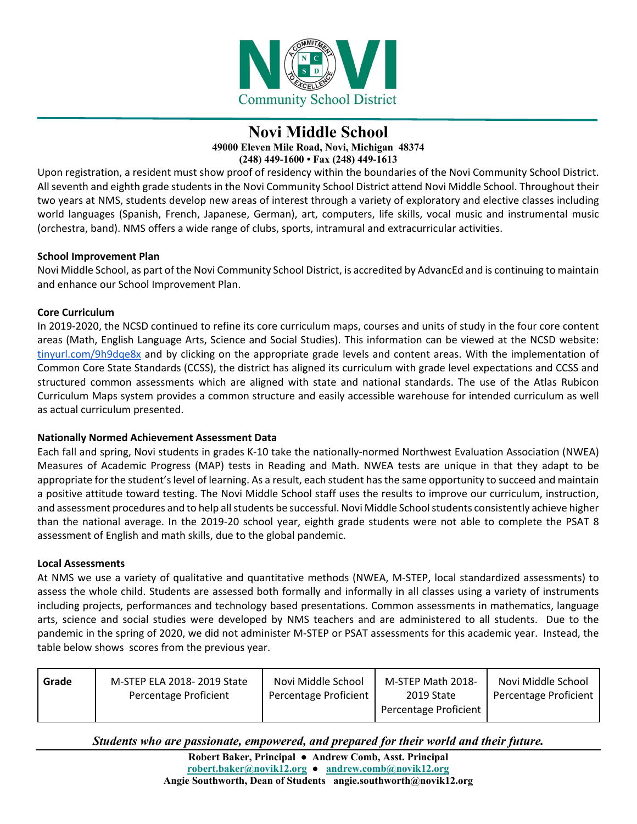

## **Novi Middle School 49000 Eleven Mile Road, Novi, Michigan 48374**

**(248) 449-1600 • Fax (248) 449-1613**

Upon registration, a resident must show proof of residency within the boundaries of the Novi Community School District. All seventh and eighth grade students in the Novi Community School District attend Novi Middle School. Throughout their two years at NMS, students develop new areas of interest through a variety of exploratory and elective classes including world languages (Spanish, French, Japanese, German), art, computers, life skills, vocal music and instrumental music (orchestra, band). NMS offers a wide range of clubs, sports, intramural and extracurricular activities.

#### **School Improvement Plan**

Novi Middle School, as part of the Novi Community School District, is accredited by AdvancEd and is continuing to maintain and enhance our School Improvement Plan.

#### **Core Curriculum**

In 2019-2020, the NCSD continued to refine its core curriculum maps, courses and units of study in the four core content areas (Math, English Language Arts, Science and Social Studies). This information can be viewed at the NCSD website: [tinyurl.com/9h9dqe8x](http://tinyurl.com/9h9dqe8x) and by clicking on the appropriate grade levels and content areas. With the implementation of Common Core State Standards (CCSS), the district has aligned its curriculum with grade level expectations and CCSS and structured common assessments which are aligned with state and national standards. The use of the Atlas Rubicon Curriculum Maps system provides a common structure and easily accessible warehouse for intended curriculum as well as actual curriculum presented.

#### **Nationally Normed Achievement Assessment Data**

Each fall and spring, Novi students in grades K-10 take the nationally-normed Northwest Evaluation Association (NWEA) Measures of Academic Progress (MAP) tests in Reading and Math. NWEA tests are unique in that they adapt to be appropriate for the student's level of learning. As a result, each student has the same opportunity to succeed and maintain a positive attitude toward testing. The Novi Middle School staff uses the results to improve our curriculum, instruction, and assessment procedures and to help all students be successful. Novi Middle School students consistently achieve higher than the national average. In the 2019-20 school year, eighth grade students were not able to complete the PSAT 8 assessment of English and math skills, due to the global pandemic.

#### **Local Assessments**

At NMS we use a variety of qualitative and quantitative methods (NWEA, M-STEP, local standardized assessments) to assess the whole child. Students are assessed both formally and informally in all classes using a variety of instruments including projects, performances and technology based presentations. Common assessments in mathematics, language arts, science and social studies were developed by NMS teachers and are administered to all students. Due to the pandemic in the spring of 2020, we did not administer M-STEP or PSAT assessments for this academic year. Instead, the table below shows scores from the previous year.

| Grade | M-STEP ELA 2018-2019 State<br>Percentage Proficient | Novi Middle School<br>Percentage Proficient | M-STEP Math 2018-<br>2019 State<br>Percentage Proficient | Novi Middle School<br>Percentage Proficient |
|-------|-----------------------------------------------------|---------------------------------------------|----------------------------------------------------------|---------------------------------------------|
|       |                                                     |                                             |                                                          |                                             |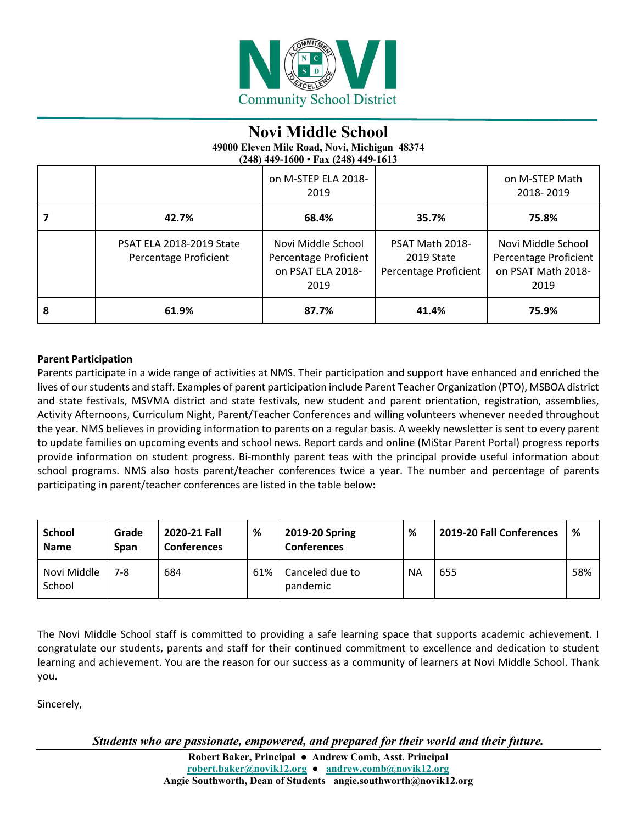

# **Novi Middle School**

**49000 Eleven Mile Road, Novi, Michigan 48374 (248) 449-1600 • Fax (248) 449-1613**

|   |                                                          | on M-STEP ELA 2018-<br>2019                                              |                                                        | on M-STEP Math<br>2018-2019                                               |
|---|----------------------------------------------------------|--------------------------------------------------------------------------|--------------------------------------------------------|---------------------------------------------------------------------------|
|   | 42.7%                                                    | 68.4%                                                                    | 35.7%                                                  | 75.8%                                                                     |
|   | <b>PSAT ELA 2018-2019 State</b><br>Percentage Proficient | Novi Middle School<br>Percentage Proficient<br>on PSAT ELA 2018-<br>2019 | PSAT Math 2018-<br>2019 State<br>Percentage Proficient | Novi Middle School<br>Percentage Proficient<br>on PSAT Math 2018-<br>2019 |
| 8 | 61.9%                                                    | 87.7%                                                                    | 41.4%                                                  | 75.9%                                                                     |

### **Parent Participation**

Parents participate in a wide range of activities at NMS. Their participation and support have enhanced and enriched the lives of our students and staff. Examples of parent participation include Parent Teacher Organization (PTO), MSBOA district and state festivals, MSVMA district and state festivals, new student and parent orientation, registration, assemblies, Activity Afternoons, Curriculum Night, Parent/Teacher Conferences and willing volunteers whenever needed throughout the year. NMS believes in providing information to parents on a regular basis. A weekly newsletter is sent to every parent to update families on upcoming events and school news. Report cards and online (MiStar Parent Portal) progress reports provide information on student progress. Bi-monthly parent teas with the principal provide useful information about school programs. NMS also hosts parent/teacher conferences twice a year. The number and percentage of parents participating in parent/teacher conferences are listed in the table below:

| School<br><b>Name</b> | Grade<br>Span | 2020-21 Fall<br><b>Conferences</b> | %   | 2019-20 Spring<br><b>Conferences</b> | %         | 2019-20 Fall Conferences | %   |
|-----------------------|---------------|------------------------------------|-----|--------------------------------------|-----------|--------------------------|-----|
| Novi Middle<br>School | 7-8           | 684                                | 61% | Canceled due to<br>pandemic          | <b>NA</b> | 655                      | 58% |

The Novi Middle School staff is committed to providing a safe learning space that supports academic achievement. I congratulate our students, parents and staff for their continued commitment to excellence and dedication to student learning and achievement. You are the reason for our success as a community of learners at Novi Middle School. Thank you.

Sincerely,